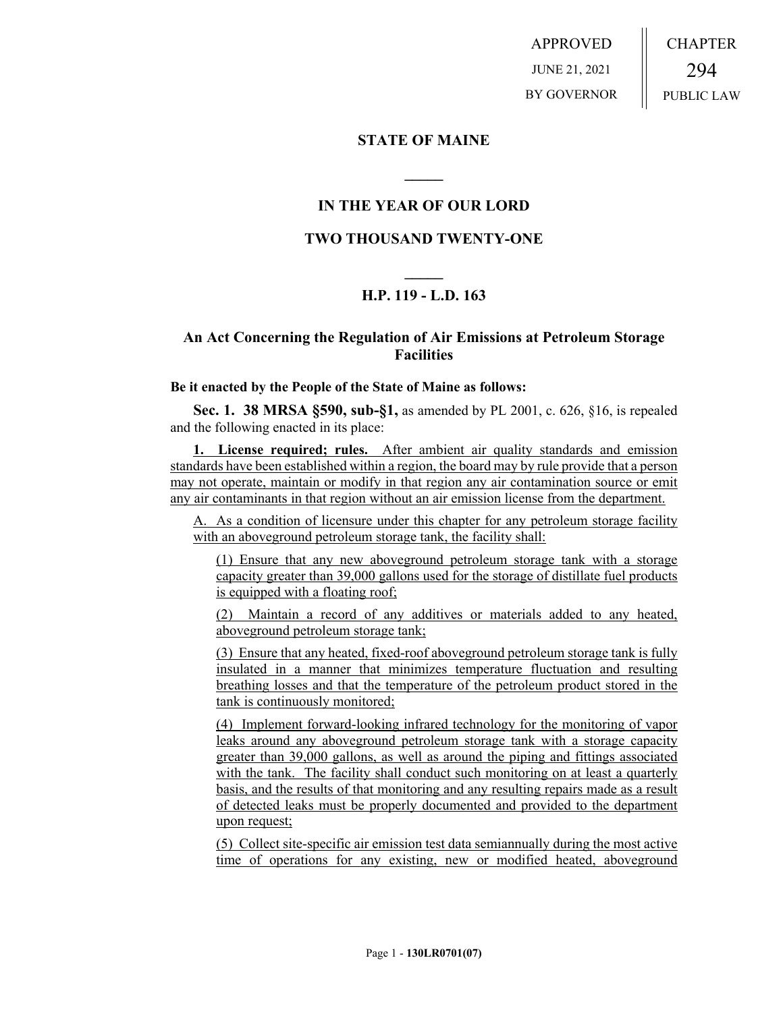APPROVED JUNE 21, 2021 BY GOVERNOR CHAPTER 294 PUBLIC LAW

### **STATE OF MAINE**

# **IN THE YEAR OF OUR LORD**

**\_\_\_\_\_**

## **TWO THOUSAND TWENTY-ONE**

# **\_\_\_\_\_ H.P. 119 - L.D. 163**

# **An Act Concerning the Regulation of Air Emissions at Petroleum Storage Facilities**

#### **Be it enacted by the People of the State of Maine as follows:**

**Sec. 1. 38 MRSA §590, sub-§1,** as amended by PL 2001, c. 626, §16, is repealed and the following enacted in its place:

**1. License required; rules.** After ambient air quality standards and emission standards have been established within a region, the board may by rule provide that a person may not operate, maintain or modify in that region any air contamination source or emit any air contaminants in that region without an air emission license from the department.

A. As a condition of licensure under this chapter for any petroleum storage facility with an aboveground petroleum storage tank, the facility shall:

(1) Ensure that any new aboveground petroleum storage tank with a storage capacity greater than 39,000 gallons used for the storage of distillate fuel products is equipped with a floating roof;

(2) Maintain a record of any additives or materials added to any heated, aboveground petroleum storage tank;

(3) Ensure that any heated, fixed-roof aboveground petroleum storage tank is fully insulated in a manner that minimizes temperature fluctuation and resulting breathing losses and that the temperature of the petroleum product stored in the tank is continuously monitored;

(4) Implement forward-looking infrared technology for the monitoring of vapor leaks around any aboveground petroleum storage tank with a storage capacity greater than 39,000 gallons, as well as around the piping and fittings associated with the tank. The facility shall conduct such monitoring on at least a quarterly basis, and the results of that monitoring and any resulting repairs made as a result of detected leaks must be properly documented and provided to the department upon request;

(5) Collect site-specific air emission test data semiannually during the most active time of operations for any existing, new or modified heated, aboveground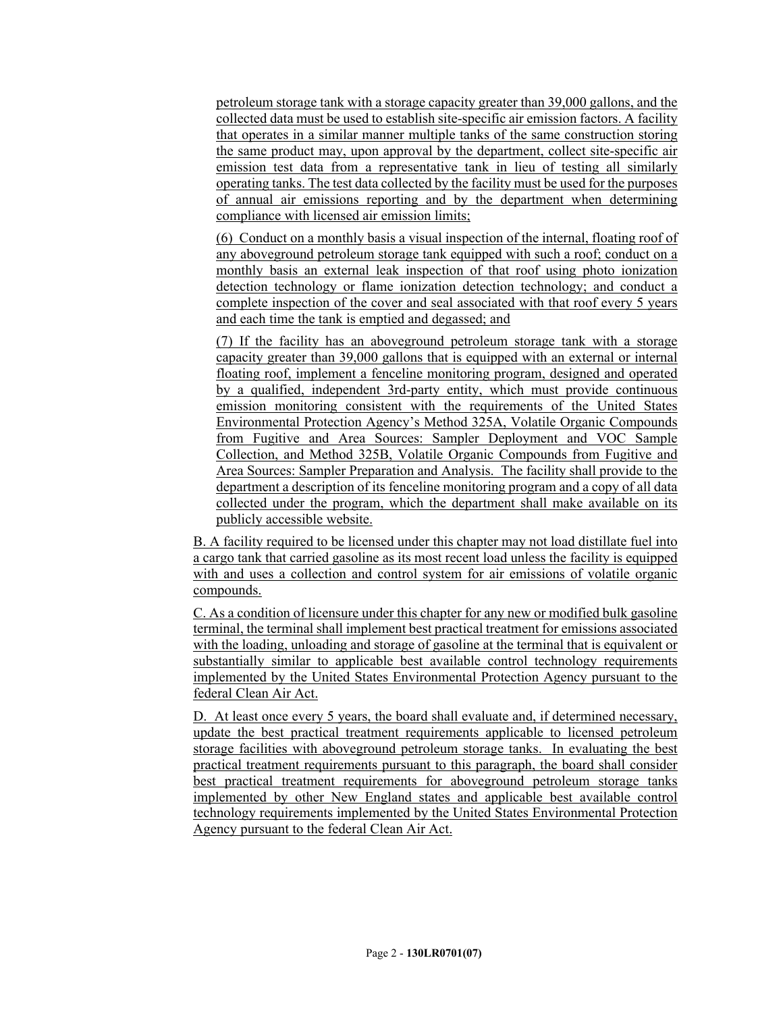petroleum storage tank with a storage capacity greater than 39,000 gallons, and the collected data must be used to establish site-specific air emission factors. A facility that operates in a similar manner multiple tanks of the same construction storing the same product may, upon approval by the department, collect site-specific air emission test data from a representative tank in lieu of testing all similarly operating tanks. The test data collected by the facility must be used for the purposes of annual air emissions reporting and by the department when determining compliance with licensed air emission limits;

(6) Conduct on a monthly basis a visual inspection of the internal, floating roof of any aboveground petroleum storage tank equipped with such a roof; conduct on a monthly basis an external leak inspection of that roof using photo ionization detection technology or flame ionization detection technology; and conduct a complete inspection of the cover and seal associated with that roof every 5 years and each time the tank is emptied and degassed; and

(7) If the facility has an aboveground petroleum storage tank with a storage capacity greater than 39,000 gallons that is equipped with an external or internal floating roof, implement a fenceline monitoring program, designed and operated by a qualified, independent 3rd-party entity, which must provide continuous emission monitoring consistent with the requirements of the United States Environmental Protection Agency's Method 325A, Volatile Organic Compounds from Fugitive and Area Sources: Sampler Deployment and VOC Sample Collection, and Method 325B, Volatile Organic Compounds from Fugitive and Area Sources: Sampler Preparation and Analysis. The facility shall provide to the department a description of its fenceline monitoring program and a copy of all data collected under the program, which the department shall make available on its publicly accessible website.

B. A facility required to be licensed under this chapter may not load distillate fuel into a cargo tank that carried gasoline as its most recent load unless the facility is equipped with and uses a collection and control system for air emissions of volatile organic compounds.

C. As a condition of licensure under this chapter for any new or modified bulk gasoline terminal, the terminal shall implement best practical treatment for emissions associated with the loading, unloading and storage of gasoline at the terminal that is equivalent or substantially similar to applicable best available control technology requirements implemented by the United States Environmental Protection Agency pursuant to the federal Clean Air Act.

D. At least once every 5 years, the board shall evaluate and, if determined necessary, update the best practical treatment requirements applicable to licensed petroleum storage facilities with aboveground petroleum storage tanks. In evaluating the best practical treatment requirements pursuant to this paragraph, the board shall consider best practical treatment requirements for aboveground petroleum storage tanks implemented by other New England states and applicable best available control technology requirements implemented by the United States Environmental Protection Agency pursuant to the federal Clean Air Act.